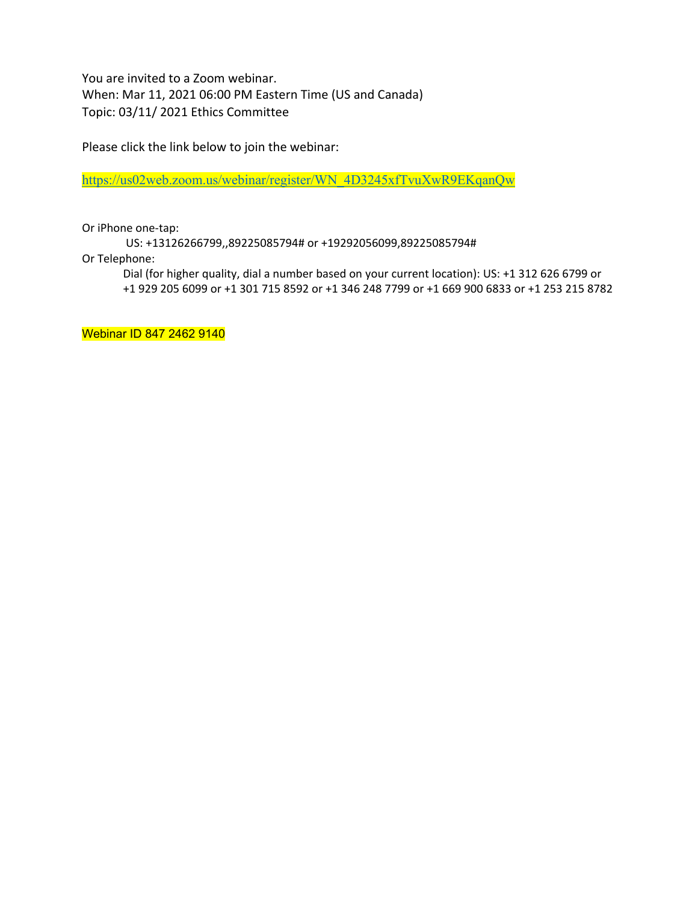You are invited to a Zoom webinar. When: Mar 11, 2021 06:00 PM Eastern Time (US and Canada) Topic: 03/11/ 2021 Ethics Committee

Please click the link below to join the webinar:

https://us02web.zoom.us/webinar/register/WN\_4D3245xfTvuXwR9EKqanQw

Or iPhone one-tap:

US: +13126266799,,89225085794# or +19292056099,89225085794#

Or Telephone:

Dial (for higher quality, dial a number based on your current location): US: +1 312 626 6799 or +1 929 205 6099 or +1 301 715 8592 or +1 346 248 7799 or +1 669 900 6833 or +1 253 215 8782

Webinar ID 847 2462 9140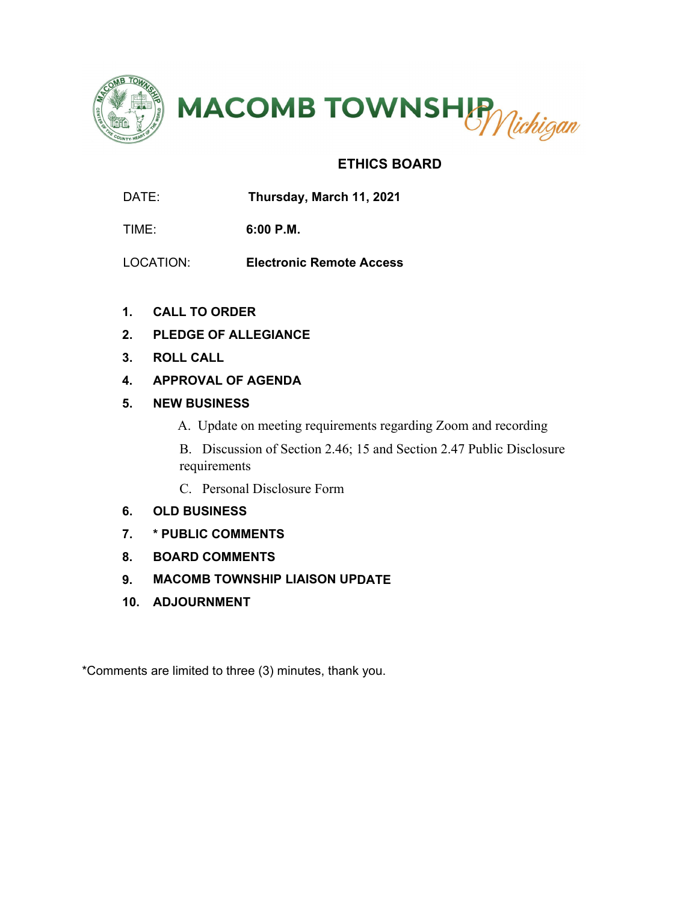



## **ETHICS BOARD**

DATE: **Thursday, March 11, 2021** 

TIME: **6:00 P.M.**

- LOCATION: **Electronic Remote Access**
- **1. CALL TO ORDER**
- **2. PLEDGE OF ALLEGIANCE**
- **3. ROLL CALL**
- **4. APPROVAL OF AGENDA**
- **5. NEW BUSINESS**
	- A. Update on meeting requirements regarding Zoom and recording

B. Discussion of Section 2.46; 15 and Section 2.47 Public Disclosure requirements

- C. Personal Disclosure Form
- **6. OLD BUSINESS**
- **7. \* PUBLIC COMMENTS**
- **8. BOARD COMMENTS**
- **9. MACOMB TOWNSHIP LIAISON UPDATE**
- **10. ADJOURNMENT**

\*Comments are limited to three (3) minutes, thank you.